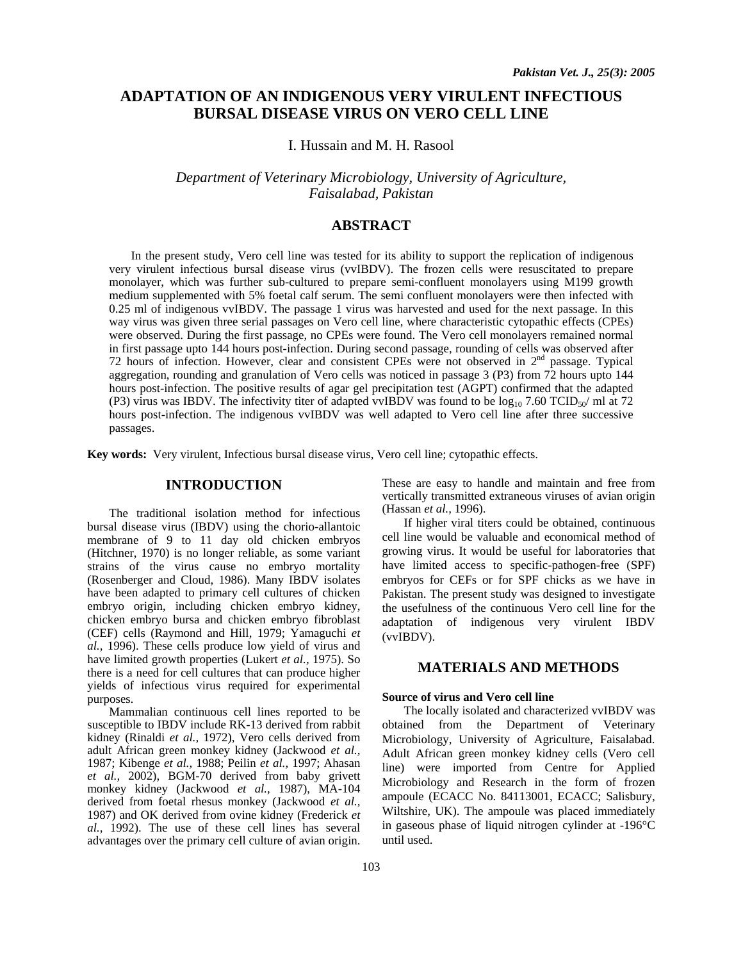# **ADAPTATION OF AN INDIGENOUS VERY VIRULENT INFECTIOUS BURSAL DISEASE VIRUS ON VERO CELL LINE**

I. Hussain and M. H. Rasool

*Department of Veterinary Microbiology, University of Agriculture, Faisalabad, Pakistan* 

# **ABSTRACT**

In the present study, Vero cell line was tested for its ability to support the replication of indigenous very virulent infectious bursal disease virus (vvIBDV). The frozen cells were resuscitated to prepare monolayer, which was further sub-cultured to prepare semi-confluent monolayers using M199 growth medium supplemented with 5% foetal calf serum. The semi confluent monolayers were then infected with 0.25 ml of indigenous vvIBDV. The passage 1 virus was harvested and used for the next passage. In this way virus was given three serial passages on Vero cell line, where characteristic cytopathic effects (CPEs) were observed. During the first passage, no CPEs were found. The Vero cell monolayers remained normal in first passage upto 144 hours post-infection. During second passage, rounding of cells was observed after 72 hours of infection. However, clear and consistent CPEs were not observed in 2nd passage. Typical aggregation, rounding and granulation of Vero cells was noticed in passage 3 (P3) from 72 hours upto 144 hours post-infection. The positive results of agar gel precipitation test (AGPT) confirmed that the adapted (P3) virus was IBDV. The infectivity titer of adapted vvIBDV was found to be  $\log_{10} 7.60$  TCID<sub>50</sub>/ ml at 72 hours post-infection. The indigenous vvIBDV was well adapted to Vero cell line after three successive passages.

**Key words:** Very virulent, Infectious bursal disease virus, Vero cell line; cytopathic effects.

# **INTRODUCTION**

The traditional isolation method for infectious bursal disease virus (IBDV) using the chorio-allantoic membrane of 9 to 11 day old chicken embryos (Hitchner, 1970) is no longer reliable, as some variant strains of the virus cause no embryo mortality (Rosenberger and Cloud, 1986). Many IBDV isolates have been adapted to primary cell cultures of chicken embryo origin, including chicken embryo kidney, chicken embryo bursa and chicken embryo fibroblast (CEF) cells (Raymond and Hill, 1979; Yamaguchi *et al.,* 1996). These cells produce low yield of virus and have limited growth properties (Lukert *et al.,* 1975). So there is a need for cell cultures that can produce higher yields of infectious virus required for experimental purposes.

Mammalian continuous cell lines reported to be susceptible to IBDV include RK-13 derived from rabbit kidney (Rinaldi *et al.,* 1972), Vero cells derived from adult African green monkey kidney (Jackwood *et al.,*  1987; Kibenge *et al.,* 1988; Peilin *et al.,* 1997; Ahasan *et al.,* 2002), BGM-70 derived from baby grivett monkey kidney (Jackwood *et al.,* 1987), MA-104 derived from foetal rhesus monkey (Jackwood *et al.,*  1987) and OK derived from ovine kidney (Frederick *et al.,* 1992). The use of these cell lines has several advantages over the primary cell culture of avian origin.

These are easy to handle and maintain and free from vertically transmitted extraneous viruses of avian origin (Hassan *et al.,* 1996).

If higher viral titers could be obtained, continuous cell line would be valuable and economical method of growing virus. It would be useful for laboratories that have limited access to specific-pathogen-free (SPF) embryos for CEFs or for SPF chicks as we have in Pakistan. The present study was designed to investigate the usefulness of the continuous Vero cell line for the adaptation of indigenous very virulent IBDV (vvIBDV).

# **MATERIALS AND METHODS**

#### **Source of virus and Vero cell line**

The locally isolated and characterized vvIBDV was obtained from the Department of Veterinary Microbiology, University of Agriculture, Faisalabad. Adult African green monkey kidney cells (Vero cell line) were imported from Centre for Applied Microbiology and Research in the form of frozen ampoule (ECACC No. 84113001, ECACC; Salisbury, Wiltshire, UK). The ampoule was placed immediately in gaseous phase of liquid nitrogen cylinder at -196°C until used.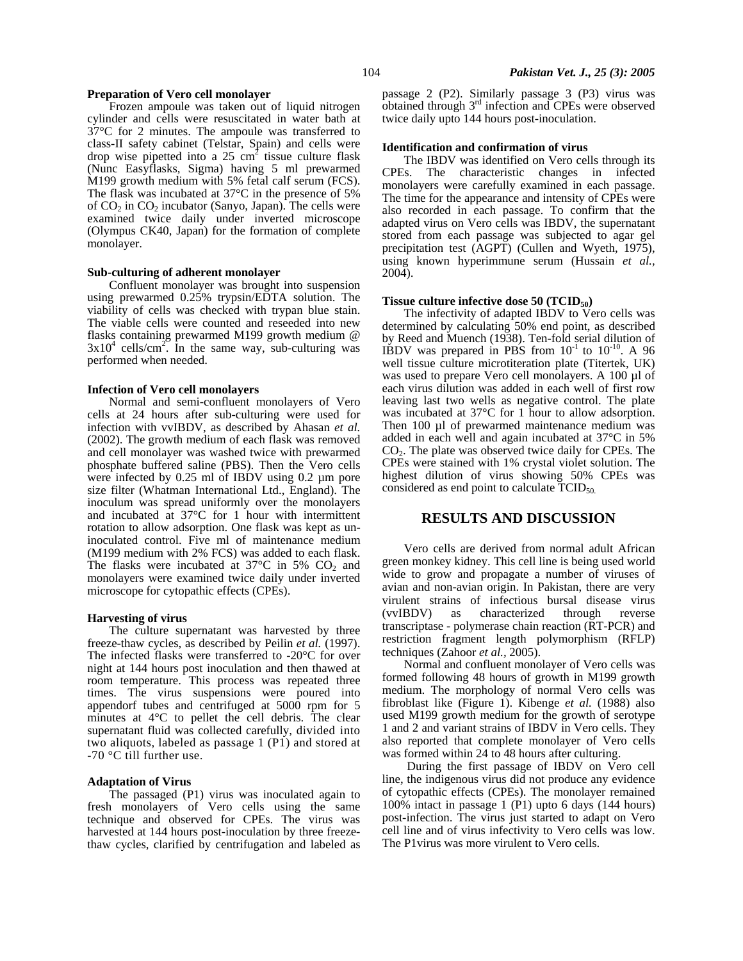#### **Preparation of Vero cell monolayer**

Frozen ampoule was taken out of liquid nitrogen cylinder and cells were resuscitated in water bath at 37°C for 2 minutes. The ampoule was transferred to class-II safety cabinet (Telstar, Spain) and cells were drop wise pipetted into a  $25 \text{ cm}^2$  tissue culture flask (Nunc Easyflasks, Sigma) having 5 ml prewarmed M199 growth medium with 5% fetal calf serum (FCS). The flask was incubated at 37°C in the presence of 5% of  $CO<sub>2</sub>$  in  $CO<sub>2</sub>$  incubator (Sanyo, Japan). The cells were examined twice daily under inverted microscope (Olympus CK40, Japan) for the formation of complete monolayer.

### **Sub-culturing of adherent monolayer**

Confluent monolayer was brought into suspension using prewarmed 0.25% trypsin/EDTA solution. The viability of cells was checked with trypan blue stain. The viable cells were counted and reseeded into new flasks containing prewarmed M199 growth medium @  $3x10^4$  cells/cm<sup>2</sup>. In the same way, sub-culturing was performed when needed.

#### **Infection of Vero cell monolayers**

Normal and semi-confluent monolayers of Vero cells at 24 hours after sub-culturing were used for infection with vvIBDV, as described by Ahasan *et al.*  (2002). The growth medium of each flask was removed and cell monolayer was washed twice with prewarmed phosphate buffered saline (PBS). Then the Vero cells were infected by 0.25 ml of IBDV using 0.2 µm pore size filter (Whatman International Ltd., England). The inoculum was spread uniformly over the monolayers and incubated at 37°C for 1 hour with intermittent rotation to allow adsorption. One flask was kept as uninoculated control. Five ml of maintenance medium (M199 medium with 2% FCS) was added to each flask. The flasks were incubated at  $37^{\circ}$ C in 5% CO<sub>2</sub> and monolayers were examined twice daily under inverted microscope for cytopathic effects (CPEs).

#### **Harvesting of virus**

The culture supernatant was harvested by three freeze-thaw cycles, as described by Peilin *et al.* (1997). The infected flasks were transferred to -20°C for over night at 144 hours post inoculation and then thawed at room temperature. This process was repeated three times. The virus suspensions were poured into appendorf tubes and centrifuged at 5000 rpm for 5 minutes at 4°C to pellet the cell debris. The clear supernatant fluid was collected carefully, divided into two aliquots, labeled as passage 1 (P1) and stored at -70 °C till further use.

### **Adaptation of Virus**

The passaged (P1) virus was inoculated again to fresh monolayers of Vero cells using the same technique and observed for CPEs. The virus was harvested at 144 hours post-inoculation by three freezethaw cycles, clarified by centrifugation and labeled as passage 2 (P2). Similarly passage 3 (P3) virus was obtained through 3rd infection and CPEs were observed twice daily upto 144 hours post-inoculation.

#### **Identification and confirmation of virus**

The IBDV was identified on Vero cells through its CPEs. The characteristic changes in infected monolayers were carefully examined in each passage. The time for the appearance and intensity of CPEs were also recorded in each passage. To confirm that the adapted virus on Vero cells was IBDV, the supernatant stored from each passage was subjected to agar gel precipitation test (AGPT) (Cullen and Wyeth, 1975), using known hyperimmune serum (Hussain *et al.,*  2004).

#### **Tissue culture infective dose 50 (TCID50)**

The infectivity of adapted IBDV to Vero cells was determined by calculating 50% end point, as described by Reed and Muench (1938). Ten-fold serial dilution of IBDV was prepared in PBS from  $10^{-1}$  to  $10^{-10}$ . A 96 well tissue culture microtiteration plate (Titertek, UK) was used to prepare Vero cell monolayers. A 100 µl of each virus dilution was added in each well of first row leaving last two wells as negative control. The plate was incubated at 37°C for 1 hour to allow adsorption. Then 100 µl of prewarmed maintenance medium was added in each well and again incubated at 37°C in 5%  $CO<sub>2</sub>$ . The plate was observed twice daily for CPEs. The CPEs were stained with 1% crystal violet solution. The highest dilution of virus showing 50% CPEs was considered as end point to calculate TCID<sub>50</sub>.

## **RESULTS AND DISCUSSION**

Vero cells are derived from normal adult African green monkey kidney. This cell line is being used world wide to grow and propagate a number of viruses of avian and non-avian origin. In Pakistan, there are very virulent strains of infectious bursal disease virus (vvIBDV) as characterized through reverse transcriptase - polymerase chain reaction (RT-PCR) and restriction fragment length polymorphism (RFLP) techniques (Zahoor *et al.,* 2005).

Normal and confluent monolayer of Vero cells was formed following 48 hours of growth in M199 growth medium. The morphology of normal Vero cells was fibroblast like (Figure 1). Kibenge *et al.* (1988) also used M199 growth medium for the growth of serotype 1 and 2 and variant strains of IBDV in Vero cells. They also reported that complete monolayer of Vero cells was formed within 24 to 48 hours after culturing.

During the first passage of IBDV on Vero cell line, the indigenous virus did not produce any evidence of cytopathic effects (CPEs). The monolayer remained 100% intact in passage 1 (P1) upto 6 days (144 hours) post-infection. The virus just started to adapt on Vero cell line and of virus infectivity to Vero cells was low. The P1virus was more virulent to Vero cells.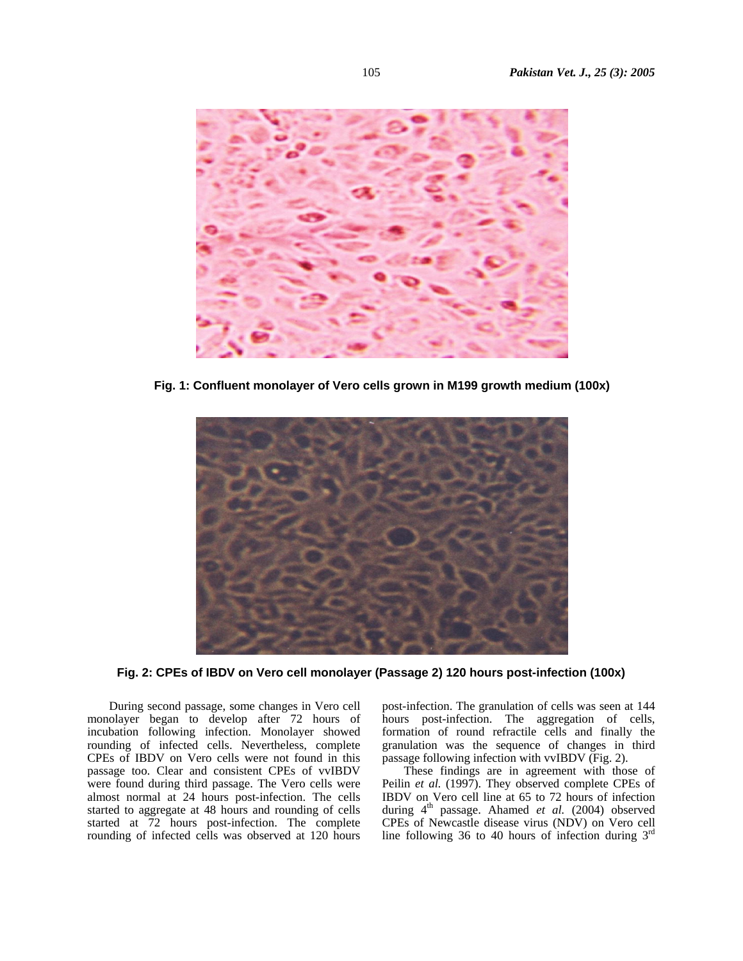

**Fig. 1: Confluent monolayer of Vero cells grown in M199 growth medium (100x)**



**Fig. 2: CPEs of IBDV on Vero cell monolayer (Passage 2) 120 hours post-infection (100x)** 

During second passage, some changes in Vero cell monolayer began to develop after 72 hours of incubation following infection. Monolayer showed rounding of infected cells. Nevertheless, complete CPEs of IBDV on Vero cells were not found in this passage too. Clear and consistent CPEs of vvIBDV were found during third passage. The Vero cells were almost normal at 24 hours post-infection. The cells started to aggregate at 48 hours and rounding of cells started at 72 hours post-infection. The complete rounding of infected cells was observed at 120 hours

post-infection. The granulation of cells was seen at 144 hours post-infection. The aggregation of cells, formation of round refractile cells and finally the granulation was the sequence of changes in third passage following infection with vvIBDV (Fig. 2).

These findings are in agreement with those of Peilin *et al.* (1997). They observed complete CPEs of IBDV on Vero cell line at 65 to 72 hours of infection during 4<sup>th</sup> passage. Ahamed *et al.* (2004) observed CPEs of Newcastle disease virus (NDV) on Vero cell line following 36 to 40 hours of infection during  $3<sup>rd</sup>$